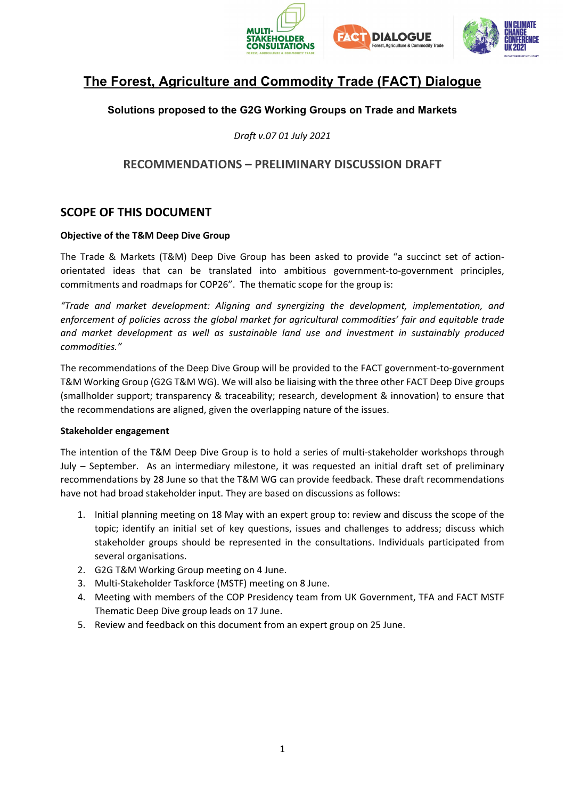

# **The Forest, Agriculture and Commodity Trade (FACT) Dialogue**

### **Solutions proposed to the G2G Working Groups on Trade and Markets**

*Draft v.07 01 July 2021*

## **RECOMMENDATIONS – PRELIMINARY DISCUSSION DRAFT**

### **SCOPE OF THIS DOCUMENT**

#### **Objective of the T&M Deep Dive Group**

The Trade & Markets (T&M) Deep Dive Group has been asked to provide "a succinct set of actionorientated ideas that can be translated into ambitious government-to-government principles, commitments and roadmaps for COP26". The thematic scope for the group is:

*"Trade and market development: Aligning and synergizing the development, implementation, and enforcement of policies across the global market for agricultural commodities' fair and equitable trade and market development as well as sustainable land use and investment in sustainably produced commodities."*

The recommendations of the Deep Dive Group will be provided to the FACT government-to-government T&M Working Group (G2G T&M WG). We will also be liaising with the three other FACT Deep Dive groups (smallholder support; transparency & traceability; research, development & innovation) to ensure that the recommendations are aligned, given the overlapping nature of the issues.

#### **Stakeholder engagement**

The intention of the T&M Deep Dive Group is to hold a series of multi-stakeholder workshops through July – September. As an intermediary milestone, it was requested an initial draft set of preliminary recommendations by 28 June so that the T&M WG can provide feedback. These draft recommendations have not had broad stakeholder input. They are based on discussions as follows:

- 1. Initial planning meeting on 18 May with an expert group to: review and discuss the scope of the topic; identify an initial set of key questions, issues and challenges to address; discuss which stakeholder groups should be represented in the consultations. Individuals participated from several organisations.
- 2. G2G T&M Working Group meeting on 4 June.
- 3. Multi-Stakeholder Taskforce (MSTF) meeting on 8 June.
- 4. Meeting with members of the COP Presidency team from UK Government, TFA and FACT MSTF Thematic Deep Dive group leads on 17 June.
- 5. Review and feedback on this document from an expert group on 25 June.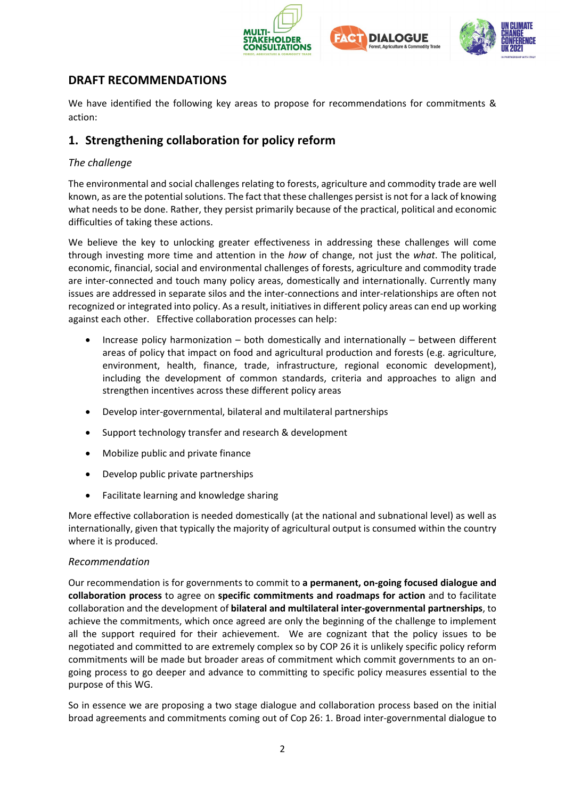





# **DRAFT RECOMMENDATIONS**

We have identified the following key areas to propose for recommendations for commitments & action:

# **1. Strengthening collaboration for policy reform**

### *The challenge*

The environmental and social challenges relating to forests, agriculture and commodity trade are well known, as are the potential solutions. The fact that these challenges persist is not for a lack of knowing what needs to be done. Rather, they persist primarily because of the practical, political and economic difficulties of taking these actions.

We believe the key to unlocking greater effectiveness in addressing these challenges will come through investing more time and attention in the *how* of change, not just the *what*. The political, economic, financial, social and environmental challenges of forests, agriculture and commodity trade are inter-connected and touch many policy areas, domestically and internationally. Currently many issues are addressed in separate silos and the inter-connections and inter-relationships are often not recognized or integrated into policy. As a result, initiatives in different policy areas can end up working against each other. Effective collaboration processes can help:

- Increase policy harmonization both domestically and internationally between different areas of policy that impact on food and agricultural production and forests (e.g. agriculture, environment, health, finance, trade, infrastructure, regional economic development), including the development of common standards, criteria and approaches to align and strengthen incentives across these different policy areas
- Develop inter-governmental, bilateral and multilateral partnerships
- Support technology transfer and research & development
- Mobilize public and private finance
- Develop public private partnerships
- Facilitate learning and knowledge sharing

More effective collaboration is needed domestically (at the national and subnational level) as well as internationally, given that typically the majority of agricultural output is consumed within the country where it is produced.

#### *Recommendation*

Our recommendation is for governments to commit to **a permanent, on-going focused dialogue and collaboration process** to agree on **specific commitments and roadmaps for action** and to facilitate collaboration and the development of **bilateral and multilateral inter-governmental partnerships**, to achieve the commitments, which once agreed are only the beginning of the challenge to implement all the support required for their achievement. We are cognizant that the policy issues to be negotiated and committed to are extremely complex so by COP 26 it is unlikely specific policy reform commitments will be made but broader areas of commitment which commit governments to an ongoing process to go deeper and advance to committing to specific policy measures essential to the purpose of this WG.

So in essence we are proposing a two stage dialogue and collaboration process based on the initial broad agreements and commitments coming out of Cop 26: 1. Broad inter-governmental dialogue to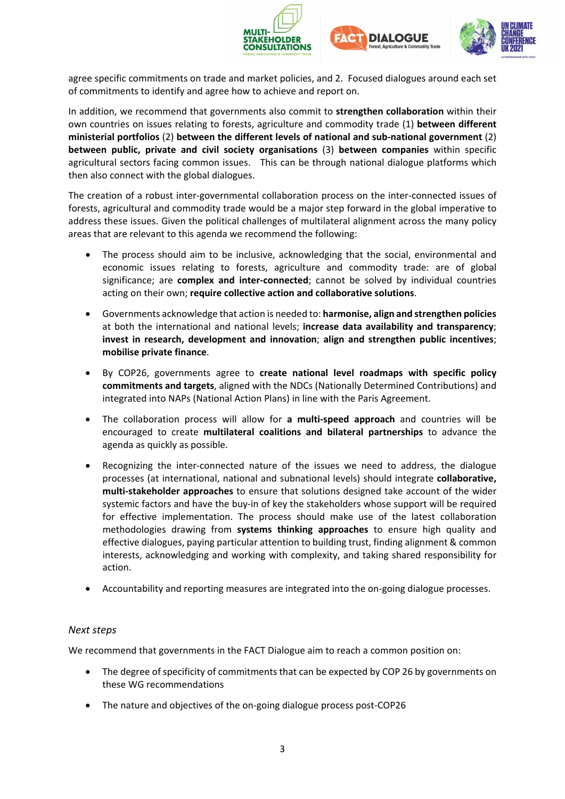





agree specific commitments on trade and market policies, and 2. Focused dialogues around each set of commitments to identify and agree how to achieve and report on.

In addition, we recommend that governments also commit to **strengthen collaboration** within their own countries on issues relating to forests, agriculture and commodity trade (1) **between different ministerial portfolios** (2) **between the different levels of national and sub-national government** (2) **between public, private and civil society organisations** (3) **between companies** within specific agricultural sectors facing common issues. This can be through national dialogue platforms which then also connect with the global dialogues.

The creation of a robust inter-governmental collaboration process on the inter-connected issues of forests, agricultural and commodity trade would be a major step forward in the global imperative to address these issues. Given the political challenges of multilateral alignment across the many policy areas that are relevant to this agenda we recommend the following:

- The process should aim to be inclusive, acknowledging that the social, environmental and economic issues relating to forests, agriculture and commodity trade: are of global significance; are **complex and inter-connected**; cannot be solved by individual countries acting on their own; **require collective action and collaborative solutions**.
- Governments acknowledge that action is needed to: **harmonise, align and strengthen policies** at both the international and national levels; **increase data availability and transparency**; **invest in research, development and innovation**; **align and strengthen public incentives**; **mobilise private finance**.
- By COP26, governments agree to **create national level roadmaps with specific policy commitments and targets**, aligned with the NDCs (Nationally Determined Contributions) and integrated into NAPs (National Action Plans) in line with the Paris Agreement.
- The collaboration process will allow for **a multi-speed approach** and countries will be encouraged to create **multilateral coalitions and bilateral partnerships** to advance the agenda as quickly as possible.
- Recognizing the inter-connected nature of the issues we need to address, the dialogue processes (at international, national and subnational levels) should integrate **collaborative, multi-stakeholder approaches** to ensure that solutions designed take account of the wider systemic factors and have the buy-in of key the stakeholders whose support will be required for effective implementation. The process should make use of the latest collaboration methodologies drawing from **systems thinking approaches** to ensure high quality and effective dialogues, paying particular attention to building trust, finding alignment & common interests, acknowledging and working with complexity, and taking shared responsibility for action.
- Accountability and reporting measures are integrated into the on-going dialogue processes.

#### *Next steps*

We recommend that governments in the FACT Dialogue aim to reach a common position on:

- The degree of specificity of commitments that can be expected by COP 26 by governments on these WG recommendations
- The nature and objectives of the on-going dialogue process post-COP26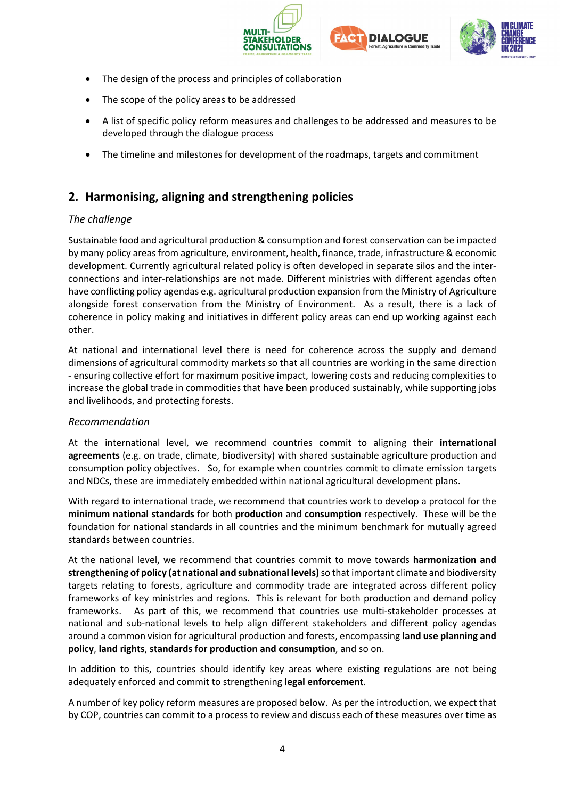





- The design of the process and principles of collaboration
- The scope of the policy areas to be addressed
- A list of specific policy reform measures and challenges to be addressed and measures to be developed through the dialogue process
- The timeline and milestones for development of the roadmaps, targets and commitment

# **2. Harmonising, aligning and strengthening policies**

### *The challenge*

Sustainable food and agricultural production & consumption and forest conservation can be impacted by many policy areas from agriculture, environment, health, finance, trade, infrastructure & economic development. Currently agricultural related policy is often developed in separate silos and the interconnections and inter-relationships are not made. Different ministries with different agendas often have conflicting policy agendas e.g. agricultural production expansion from the Ministry of Agriculture alongside forest conservation from the Ministry of Environment. As a result, there is a lack of coherence in policy making and initiatives in different policy areas can end up working against each other.

At national and international level there is need for coherence across the supply and demand dimensions of agricultural commodity markets so that all countries are working in the same direction - ensuring collective effort for maximum positive impact, lowering costs and reducing complexities to increase the global trade in commodities that have been produced sustainably, while supporting jobs and livelihoods, and protecting forests.

#### *Recommendation*

At the international level, we recommend countries commit to aligning their **international agreements** (e.g. on trade, climate, biodiversity) with shared sustainable agriculture production and consumption policy objectives. So, for example when countries commit to climate emission targets and NDCs, these are immediately embedded within national agricultural development plans.

With regard to international trade, we recommend that countries work to develop a protocol for the **minimum national standards** for both **production** and **consumption** respectively. These will be the foundation for national standards in all countries and the minimum benchmark for mutually agreed standards between countries.

At the national level, we recommend that countries commit to move towards **harmonization and strengthening of policy (at national and subnational levels)**so that important climate and biodiversity targets relating to forests, agriculture and commodity trade are integrated across different policy frameworks of key ministries and regions. This is relevant for both production and demand policy frameworks. As part of this, we recommend that countries use multi-stakeholder processes at national and sub-national levels to help align different stakeholders and different policy agendas around a common vision for agricultural production and forests, encompassing **land use planning and policy**, **land rights**, **standards for production and consumption**, and so on.

In addition to this, countries should identify key areas where existing regulations are not being adequately enforced and commit to strengthening **legal enforcement**.

A number of key policy reform measures are proposed below. As per the introduction, we expect that by COP, countries can commit to a process to review and discuss each of these measures over time as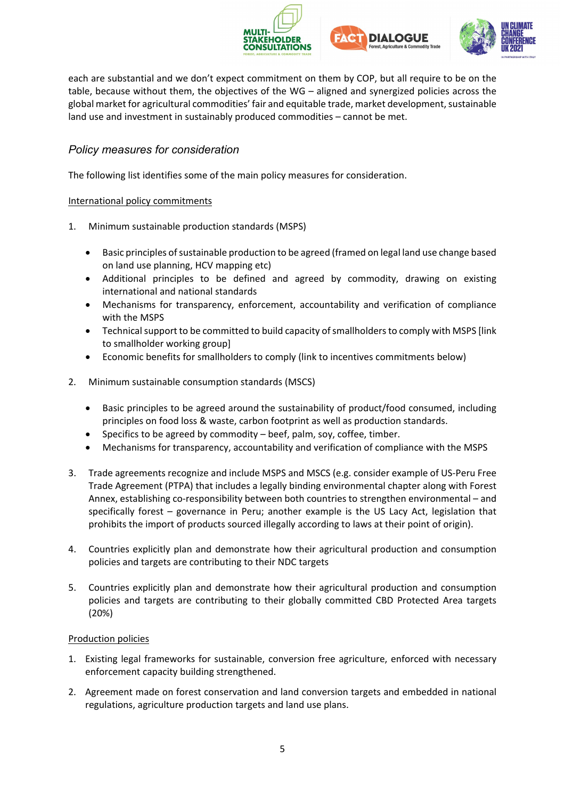





each are substantial and we don't expect commitment on them by COP, but all require to be on the table, because without them, the objectives of the WG – aligned and synergized policies across the global market for agricultural commodities' fair and equitable trade, market development, sustainable land use and investment in sustainably produced commodities – cannot be met.

### *Policy measures for consideration*

The following list identifies some of the main policy measures for consideration.

#### International policy commitments

- 1. Minimum sustainable production standards (MSPS)
	- Basic principles of sustainable production to be agreed (framed on legal land use change based on land use planning, HCV mapping etc)
	- Additional principles to be defined and agreed by commodity, drawing on existing international and national standards
	- Mechanisms for transparency, enforcement, accountability and verification of compliance with the MSPS
	- Technical support to be committed to build capacity of smallholders to comply with MSPS [link to smallholder working group]
	- Economic benefits for smallholders to comply (link to incentives commitments below)
- 2. Minimum sustainable consumption standards (MSCS)
	- Basic principles to be agreed around the sustainability of product/food consumed, including principles on food loss & waste, carbon footprint as well as production standards.
	- Specifics to be agreed by commodity beef, palm, soy, coffee, timber.
	- Mechanisms for transparency, accountability and verification of compliance with the MSPS
- 3. Trade agreements recognize and include MSPS and MSCS (e.g. consider example of US-Peru Free Trade Agreement (PTPA) that includes a legally binding environmental chapter along with Forest Annex, establishing co-responsibility between both countries to strengthen environmental – and specifically forest – governance in Peru; another example is the US Lacy Act, legislation that prohibits the import of products sourced illegally according to laws at their point of origin).
- 4. Countries explicitly plan and demonstrate how their agricultural production and consumption policies and targets are contributing to their NDC targets
- 5. Countries explicitly plan and demonstrate how their agricultural production and consumption policies and targets are contributing to their globally committed CBD Protected Area targets (20%)

#### Production policies

- 1. Existing legal frameworks for sustainable, conversion free agriculture, enforced with necessary enforcement capacity building strengthened.
- 2. Agreement made on forest conservation and land conversion targets and embedded in national regulations, agriculture production targets and land use plans.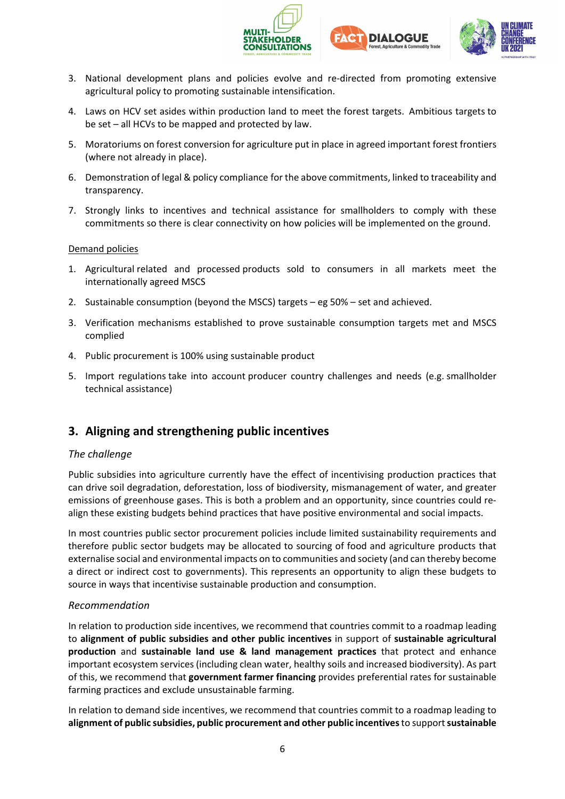





- 3. National development plans and policies evolve and re-directed from promoting extensive agricultural policy to promoting sustainable intensification.
- 4. Laws on HCV set asides within production land to meet the forest targets. Ambitious targets to be set – all HCVs to be mapped and protected by law.
- 5. Moratoriums on forest conversion for agriculture put in place in agreed important forest frontiers (where not already in place).
- 6. Demonstration of legal & policy compliance for the above commitments, linked to traceability and transparency.
- 7. Strongly links to incentives and technical assistance for smallholders to comply with these commitments so there is clear connectivity on how policies will be implemented on the ground.

#### Demand policies

- 1. Agricultural related and processed products sold to consumers in all markets meet the internationally agreed MSCS
- 2. Sustainable consumption (beyond the MSCS) targets eg 50% set and achieved.
- 3. Verification mechanisms established to prove sustainable consumption targets met and MSCS complied
- 4. Public procurement is 100% using sustainable product
- 5. Import regulations take into account producer country challenges and needs (e.g. smallholder technical assistance)

### **3. Aligning and strengthening public incentives**

#### *The challenge*

Public subsidies into agriculture currently have the effect of incentivising production practices that can drive soil degradation, deforestation, loss of biodiversity, mismanagement of water, and greater emissions of greenhouse gases. This is both a problem and an opportunity, since countries could realign these existing budgets behind practices that have positive environmental and social impacts.

In most countries public sector procurement policies include limited sustainability requirements and therefore public sector budgets may be allocated to sourcing of food and agriculture products that externalise social and environmental impacts on to communities and society (and can thereby become a direct or indirect cost to governments). This represents an opportunity to align these budgets to source in ways that incentivise sustainable production and consumption.

#### *Recommendation*

In relation to production side incentives, we recommend that countries commit to a roadmap leading to **alignment of public subsidies and other public incentives** in support of **sustainable agricultural production** and **sustainable land use & land management practices** that protect and enhance important ecosystem services (including clean water, healthy soils and increased biodiversity). As part of this, we recommend that **government farmer financing** provides preferential rates for sustainable farming practices and exclude unsustainable farming.

In relation to demand side incentives, we recommend that countries commit to a roadmap leading to **alignment of public subsidies, public procurement and other public incentives**to support**sustainable**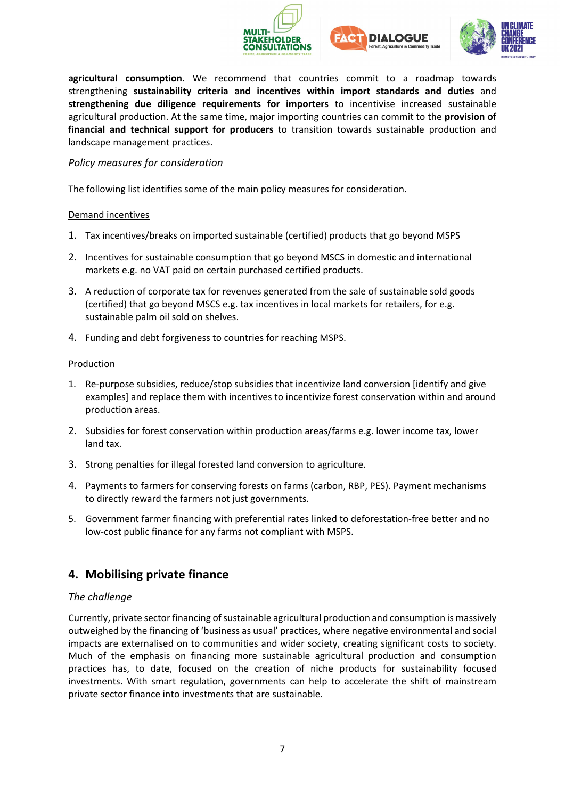





**agricultural consumption**. We recommend that countries commit to a roadmap towards strengthening **sustainability criteria and incentives within import standards and duties** and **strengthening due diligence requirements for importers** to incentivise increased sustainable agricultural production. At the same time, major importing countries can commit to the **provision of financial and technical support for producers** to transition towards sustainable production and landscape management practices.

#### *Policy measures for consideration*

The following list identifies some of the main policy measures for consideration.

#### Demand incentives

- 1. Tax incentives/breaks on imported sustainable (certified) products that go beyond MSPS
- 2. Incentives for sustainable consumption that go beyond MSCS in domestic and international markets e.g. no VAT paid on certain purchased certified products.
- 3. A reduction of corporate tax for revenues generated from the sale of sustainable sold goods (certified) that go beyond MSCS e.g. tax incentives in local markets for retailers, for e.g. sustainable palm oil sold on shelves.
- 4. Funding and debt forgiveness to countries for reaching MSPS.

#### **Production**

- 1. Re-purpose subsidies, reduce/stop subsidies that incentivize land conversion [identify and give examples] and replace them with incentives to incentivize forest conservation within and around production areas.
- 2. Subsidies for forest conservation within production areas/farms e.g. lower income tax, lower land tax.
- 3. Strong penalties for illegal forested land conversion to agriculture.
- 4. Payments to farmers for conserving forests on farms (carbon, RBP, PES). Payment mechanisms to directly reward the farmers not just governments.
- 5. Government farmer financing with preferential rates linked to deforestation-free better and no low-cost public finance for any farms not compliant with MSPS.

### **4. Mobilising private finance**

#### *The challenge*

Currently, private sector financing of sustainable agricultural production and consumption is massively outweighed by the financing of 'business as usual' practices, where negative environmental and social impacts are externalised on to communities and wider society, creating significant costs to society. Much of the emphasis on financing more sustainable agricultural production and consumption practices has, to date, focused on the creation of niche products for sustainability focused investments. With smart regulation, governments can help to accelerate the shift of mainstream private sector finance into investments that are sustainable.